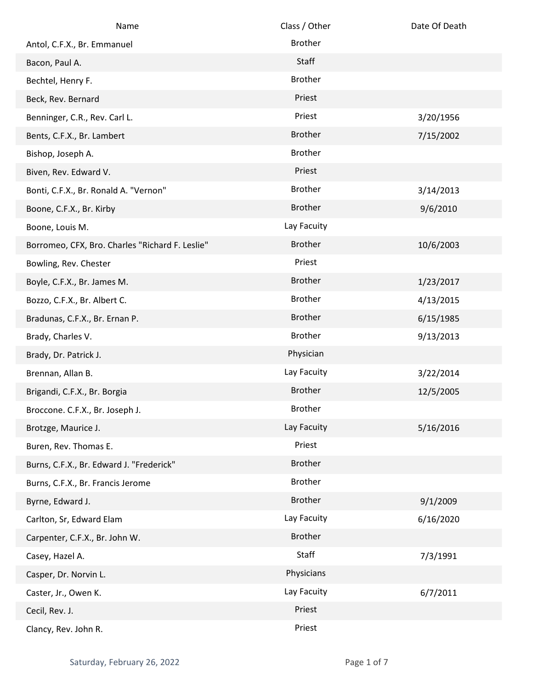| Name                                            | Class / Other  | Date Of Death |
|-------------------------------------------------|----------------|---------------|
| Antol, C.F.X., Br. Emmanuel                     | <b>Brother</b> |               |
| Bacon, Paul A.                                  | Staff          |               |
| Bechtel, Henry F.                               | <b>Brother</b> |               |
| Beck, Rev. Bernard                              | Priest         |               |
| Benninger, C.R., Rev. Carl L.                   | Priest         | 3/20/1956     |
| Bents, C.F.X., Br. Lambert                      | <b>Brother</b> | 7/15/2002     |
| Bishop, Joseph A.                               | <b>Brother</b> |               |
| Biven, Rev. Edward V.                           | Priest         |               |
| Bonti, C.F.X., Br. Ronald A. "Vernon"           | <b>Brother</b> | 3/14/2013     |
| Boone, C.F.X., Br. Kirby                        | <b>Brother</b> | 9/6/2010      |
| Boone, Louis M.                                 | Lay Facuity    |               |
| Borromeo, CFX, Bro. Charles "Richard F. Leslie" | <b>Brother</b> | 10/6/2003     |
| Bowling, Rev. Chester                           | Priest         |               |
| Boyle, C.F.X., Br. James M.                     | <b>Brother</b> | 1/23/2017     |
| Bozzo, C.F.X., Br. Albert C.                    | <b>Brother</b> | 4/13/2015     |
| Bradunas, C.F.X., Br. Ernan P.                  | <b>Brother</b> | 6/15/1985     |
| Brady, Charles V.                               | <b>Brother</b> | 9/13/2013     |
| Brady, Dr. Patrick J.                           | Physician      |               |
| Brennan, Allan B.                               | Lay Facuity    | 3/22/2014     |
| Brigandi, C.F.X., Br. Borgia                    | <b>Brother</b> | 12/5/2005     |
| Broccone. C.F.X., Br. Joseph J.                 | <b>Brother</b> |               |
| Brotzge, Maurice J.                             | Lay Facuity    | 5/16/2016     |
| Buren, Rev. Thomas E.                           | Priest         |               |
| Burns, C.F.X., Br. Edward J. "Frederick"        | <b>Brother</b> |               |
| Burns, C.F.X., Br. Francis Jerome               | <b>Brother</b> |               |
| Byrne, Edward J.                                | <b>Brother</b> | 9/1/2009      |
| Carlton, Sr, Edward Elam                        | Lay Facuity    | 6/16/2020     |
| Carpenter, C.F.X., Br. John W.                  | <b>Brother</b> |               |
| Casey, Hazel A.                                 | Staff          | 7/3/1991      |
| Casper, Dr. Norvin L.                           | Physicians     |               |
| Caster, Jr., Owen K.                            | Lay Facuity    | 6/7/2011      |
| Cecil, Rev. J.                                  | Priest         |               |
| Clancy, Rev. John R.                            | Priest         |               |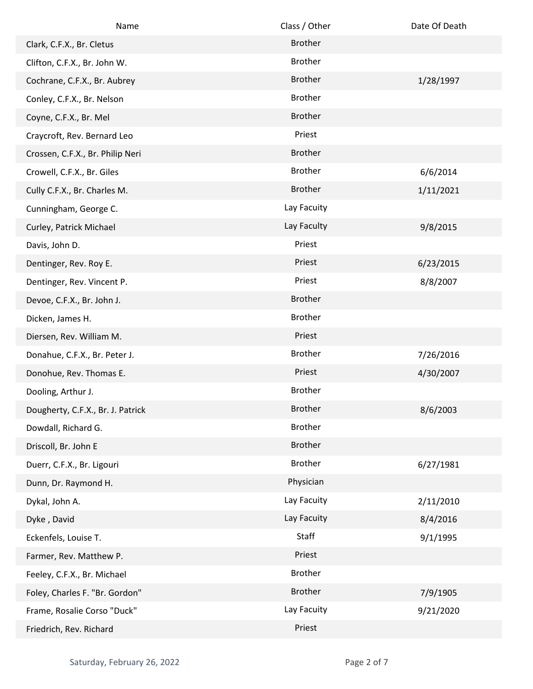| Name                              | Class / Other  | Date Of Death |
|-----------------------------------|----------------|---------------|
| Clark, C.F.X., Br. Cletus         | <b>Brother</b> |               |
| Clifton, C.F.X., Br. John W.      | <b>Brother</b> |               |
| Cochrane, C.F.X., Br. Aubrey      | <b>Brother</b> | 1/28/1997     |
| Conley, C.F.X., Br. Nelson        | <b>Brother</b> |               |
| Coyne, C.F.X., Br. Mel            | <b>Brother</b> |               |
| Craycroft, Rev. Bernard Leo       | Priest         |               |
| Crossen, C.F.X., Br. Philip Neri  | <b>Brother</b> |               |
| Crowell, C.F.X., Br. Giles        | <b>Brother</b> | 6/6/2014      |
| Cully C.F.X., Br. Charles M.      | <b>Brother</b> | 1/11/2021     |
| Cunningham, George C.             | Lay Facuity    |               |
| Curley, Patrick Michael           | Lay Faculty    | 9/8/2015      |
| Davis, John D.                    | Priest         |               |
| Dentinger, Rev. Roy E.            | Priest         | 6/23/2015     |
| Dentinger, Rev. Vincent P.        | Priest         | 8/8/2007      |
| Devoe, C.F.X., Br. John J.        | <b>Brother</b> |               |
| Dicken, James H.                  | <b>Brother</b> |               |
| Diersen, Rev. William M.          | Priest         |               |
| Donahue, C.F.X., Br. Peter J.     | <b>Brother</b> | 7/26/2016     |
| Donohue, Rev. Thomas E.           | Priest         | 4/30/2007     |
| Dooling, Arthur J.                | <b>Brother</b> |               |
| Dougherty, C.F.X., Br. J. Patrick | <b>Brother</b> | 8/6/2003      |
| Dowdall, Richard G.               | <b>Brother</b> |               |
| Driscoll, Br. John E              | <b>Brother</b> |               |
| Duerr, C.F.X., Br. Ligouri        | <b>Brother</b> | 6/27/1981     |
| Dunn, Dr. Raymond H.              | Physician      |               |
| Dykal, John A.                    | Lay Facuity    | 2/11/2010     |
| Dyke, David                       | Lay Facuity    | 8/4/2016      |
| Eckenfels, Louise T.              | Staff          | 9/1/1995      |
| Farmer, Rev. Matthew P.           | Priest         |               |
| Feeley, C.F.X., Br. Michael       | <b>Brother</b> |               |
| Foley, Charles F. "Br. Gordon"    | <b>Brother</b> | 7/9/1905      |
| Frame, Rosalie Corso "Duck"       | Lay Facuity    | 9/21/2020     |
| Friedrich, Rev. Richard           | Priest         |               |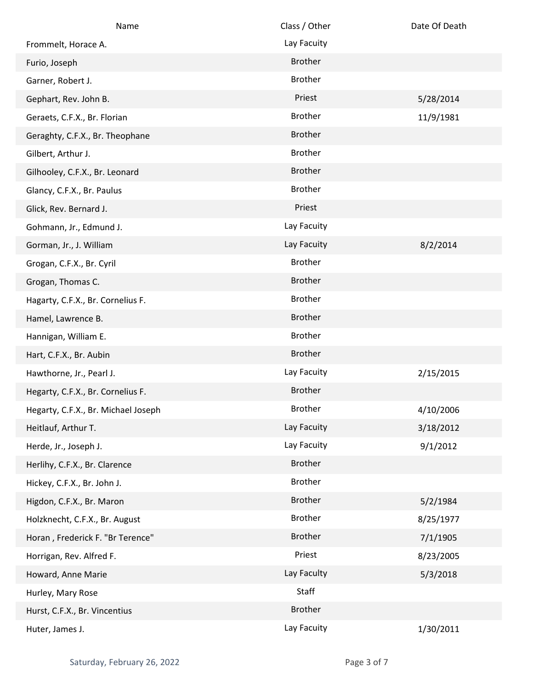| Name                                | Class / Other  | Date Of Death |
|-------------------------------------|----------------|---------------|
| Frommelt, Horace A.                 | Lay Facuity    |               |
| Furio, Joseph                       | <b>Brother</b> |               |
| Garner, Robert J.                   | <b>Brother</b> |               |
| Gephart, Rev. John B.               | Priest         | 5/28/2014     |
| Geraets, C.F.X., Br. Florian        | <b>Brother</b> | 11/9/1981     |
| Geraghty, C.F.X., Br. Theophane     | <b>Brother</b> |               |
| Gilbert, Arthur J.                  | <b>Brother</b> |               |
| Gilhooley, C.F.X., Br. Leonard      | <b>Brother</b> |               |
| Glancy, C.F.X., Br. Paulus          | <b>Brother</b> |               |
| Glick, Rev. Bernard J.              | Priest         |               |
| Gohmann, Jr., Edmund J.             | Lay Facuity    |               |
| Gorman, Jr., J. William             | Lay Facuity    | 8/2/2014      |
| Grogan, C.F.X., Br. Cyril           | <b>Brother</b> |               |
| Grogan, Thomas C.                   | <b>Brother</b> |               |
| Hagarty, C.F.X., Br. Cornelius F.   | <b>Brother</b> |               |
| Hamel, Lawrence B.                  | <b>Brother</b> |               |
| Hannigan, William E.                | <b>Brother</b> |               |
| Hart, C.F.X., Br. Aubin             | <b>Brother</b> |               |
| Hawthorne, Jr., Pearl J.            | Lay Facuity    | 2/15/2015     |
| Hegarty, C.F.X., Br. Cornelius F.   | <b>Brother</b> |               |
| Hegarty, C.F.X., Br. Michael Joseph | Brother        | 4/10/2006     |
| Heitlauf, Arthur T.                 | Lay Facuity    | 3/18/2012     |
| Herde, Jr., Joseph J.               | Lay Facuity    | 9/1/2012      |
| Herlihy, C.F.X., Br. Clarence       | <b>Brother</b> |               |
| Hickey, C.F.X., Br. John J.         | <b>Brother</b> |               |
| Higdon, C.F.X., Br. Maron           | <b>Brother</b> | 5/2/1984      |
| Holzknecht, C.F.X., Br. August      | <b>Brother</b> | 8/25/1977     |
| Horan, Frederick F. "Br Terence"    | <b>Brother</b> | 7/1/1905      |
| Horrigan, Rev. Alfred F.            | Priest         | 8/23/2005     |
| Howard, Anne Marie                  | Lay Faculty    | 5/3/2018      |
| Hurley, Mary Rose                   | Staff          |               |
| Hurst, C.F.X., Br. Vincentius       | <b>Brother</b> |               |
| Huter, James J.                     | Lay Facuity    | 1/30/2011     |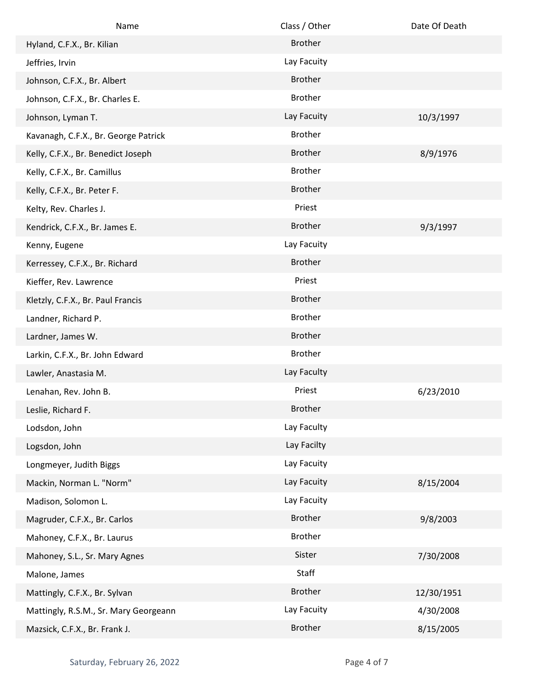| Name                                  | Class / Other  | Date Of Death |
|---------------------------------------|----------------|---------------|
| Hyland, C.F.X., Br. Kilian            | <b>Brother</b> |               |
| Jeffries, Irvin                       | Lay Facuity    |               |
| Johnson, C.F.X., Br. Albert           | <b>Brother</b> |               |
| Johnson, C.F.X., Br. Charles E.       | <b>Brother</b> |               |
| Johnson, Lyman T.                     | Lay Facuity    | 10/3/1997     |
| Kavanagh, C.F.X., Br. George Patrick  | <b>Brother</b> |               |
| Kelly, C.F.X., Br. Benedict Joseph    | <b>Brother</b> | 8/9/1976      |
| Kelly, C.F.X., Br. Camillus           | <b>Brother</b> |               |
| Kelly, C.F.X., Br. Peter F.           | <b>Brother</b> |               |
| Kelty, Rev. Charles J.                | Priest         |               |
| Kendrick, C.F.X., Br. James E.        | <b>Brother</b> | 9/3/1997      |
| Kenny, Eugene                         | Lay Facuity    |               |
| Kerressey, C.F.X., Br. Richard        | <b>Brother</b> |               |
| Kieffer, Rev. Lawrence                | Priest         |               |
| Kletzly, C.F.X., Br. Paul Francis     | <b>Brother</b> |               |
| Landner, Richard P.                   | <b>Brother</b> |               |
| Lardner, James W.                     | <b>Brother</b> |               |
| Larkin, C.F.X., Br. John Edward       | <b>Brother</b> |               |
| Lawler, Anastasia M.                  | Lay Faculty    |               |
| Lenahan, Rev. John B.                 | Priest         | 6/23/2010     |
| Leslie, Richard F.                    | <b>Brother</b> |               |
| Lodsdon, John                         | Lay Faculty    |               |
| Logsdon, John                         | Lay Facilty    |               |
| Longmeyer, Judith Biggs               | Lay Facuity    |               |
| Mackin, Norman L. "Norm"              | Lay Facuity    | 8/15/2004     |
| Madison, Solomon L.                   | Lay Facuity    |               |
| Magruder, C.F.X., Br. Carlos          | <b>Brother</b> | 9/8/2003      |
| Mahoney, C.F.X., Br. Laurus           | <b>Brother</b> |               |
| Mahoney, S.L., Sr. Mary Agnes         | Sister         | 7/30/2008     |
| Malone, James                         | Staff          |               |
| Mattingly, C.F.X., Br. Sylvan         | <b>Brother</b> | 12/30/1951    |
| Mattingly, R.S.M., Sr. Mary Georgeann | Lay Facuity    | 4/30/2008     |
| Mazsick, C.F.X., Br. Frank J.         | <b>Brother</b> | 8/15/2005     |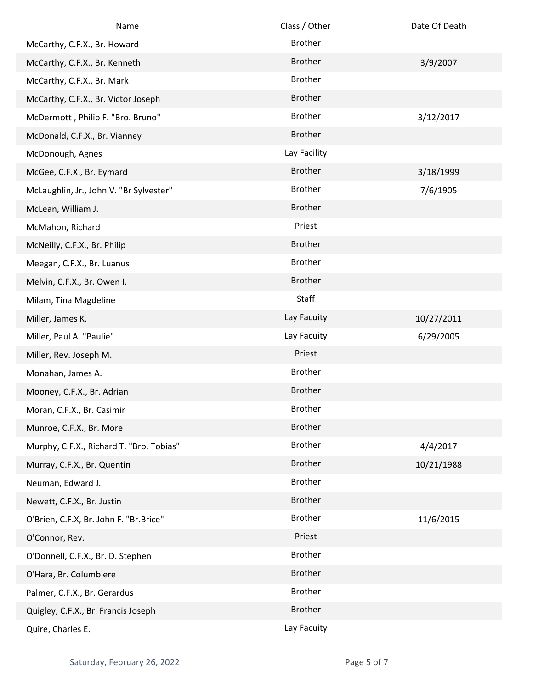| Name                                     | Class / Other  | Date Of Death |
|------------------------------------------|----------------|---------------|
| McCarthy, C.F.X., Br. Howard             | <b>Brother</b> |               |
| McCarthy, C.F.X., Br. Kenneth            | <b>Brother</b> | 3/9/2007      |
| McCarthy, C.F.X., Br. Mark               | <b>Brother</b> |               |
| McCarthy, C.F.X., Br. Victor Joseph      | <b>Brother</b> |               |
| McDermott, Philip F. "Bro. Bruno"        | <b>Brother</b> | 3/12/2017     |
| McDonald, C.F.X., Br. Vianney            | <b>Brother</b> |               |
| McDonough, Agnes                         | Lay Facility   |               |
| McGee, C.F.X., Br. Eymard                | <b>Brother</b> | 3/18/1999     |
| McLaughlin, Jr., John V. "Br Sylvester"  | <b>Brother</b> | 7/6/1905      |
| McLean, William J.                       | <b>Brother</b> |               |
| McMahon, Richard                         | Priest         |               |
| McNeilly, C.F.X., Br. Philip             | <b>Brother</b> |               |
| Meegan, C.F.X., Br. Luanus               | <b>Brother</b> |               |
| Melvin, C.F.X., Br. Owen I.              | <b>Brother</b> |               |
| Milam, Tina Magdeline                    | Staff          |               |
| Miller, James K.                         | Lay Facuity    | 10/27/2011    |
| Miller, Paul A. "Paulie"                 | Lay Facuity    | 6/29/2005     |
| Miller, Rev. Joseph M.                   | Priest         |               |
| Monahan, James A.                        | <b>Brother</b> |               |
| Mooney, C.F.X., Br. Adrian               | <b>Brother</b> |               |
| Moran, C.F.X., Br. Casimir               | <b>Brother</b> |               |
| Munroe, C.F.X., Br. More                 | <b>Brother</b> |               |
| Murphy, C.F.X., Richard T. "Bro. Tobias" | <b>Brother</b> | 4/4/2017      |
| Murray, C.F.X., Br. Quentin              | <b>Brother</b> | 10/21/1988    |
| Neuman, Edward J.                        | Brother        |               |
| Newett, C.F.X., Br. Justin               | <b>Brother</b> |               |
| O'Brien, C.F.X, Br. John F. "Br.Brice"   | <b>Brother</b> | 11/6/2015     |
| O'Connor, Rev.                           | Priest         |               |
| O'Donnell, C.F.X., Br. D. Stephen        | <b>Brother</b> |               |
| O'Hara, Br. Columbiere                   | <b>Brother</b> |               |
| Palmer, C.F.X., Br. Gerardus             | Brother        |               |
| Quigley, C.F.X., Br. Francis Joseph      | <b>Brother</b> |               |
| Quire, Charles E.                        | Lay Facuity    |               |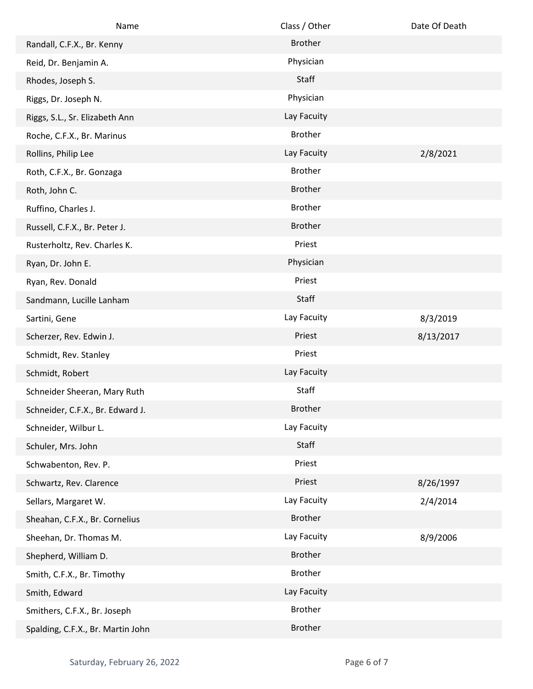| Name                              | Class / Other  | Date Of Death |
|-----------------------------------|----------------|---------------|
| Randall, C.F.X., Br. Kenny        | <b>Brother</b> |               |
| Reid, Dr. Benjamin A.             | Physician      |               |
| Rhodes, Joseph S.                 | Staff          |               |
| Riggs, Dr. Joseph N.              | Physician      |               |
| Riggs, S.L., Sr. Elizabeth Ann    | Lay Facuity    |               |
| Roche, C.F.X., Br. Marinus        | <b>Brother</b> |               |
| Rollins, Philip Lee               | Lay Facuity    | 2/8/2021      |
| Roth, C.F.X., Br. Gonzaga         | <b>Brother</b> |               |
| Roth, John C.                     | <b>Brother</b> |               |
| Ruffino, Charles J.               | <b>Brother</b> |               |
| Russell, C.F.X., Br. Peter J.     | <b>Brother</b> |               |
| Rusterholtz, Rev. Charles K.      | Priest         |               |
| Ryan, Dr. John E.                 | Physician      |               |
| Ryan, Rev. Donald                 | Priest         |               |
| Sandmann, Lucille Lanham          | Staff          |               |
| Sartini, Gene                     | Lay Facuity    | 8/3/2019      |
| Scherzer, Rev. Edwin J.           | Priest         | 8/13/2017     |
| Schmidt, Rev. Stanley             | Priest         |               |
| Schmidt, Robert                   | Lay Facuity    |               |
| Schneider Sheeran, Mary Ruth      | Staff          |               |
| Schneider, C.F.X., Br. Edward J.  | <b>Brother</b> |               |
| Schneider, Wilbur L.              | Lay Facuity    |               |
| Schuler, Mrs. John                | Staff          |               |
| Schwabenton, Rev. P.              | Priest         |               |
| Schwartz, Rev. Clarence           | Priest         | 8/26/1997     |
| Sellars, Margaret W.              | Lay Facuity    | 2/4/2014      |
| Sheahan, C.F.X., Br. Cornelius    | <b>Brother</b> |               |
| Sheehan, Dr. Thomas M.            | Lay Facuity    | 8/9/2006      |
| Shepherd, William D.              | <b>Brother</b> |               |
| Smith, C.F.X., Br. Timothy        | <b>Brother</b> |               |
| Smith, Edward                     | Lay Facuity    |               |
| Smithers, C.F.X., Br. Joseph      | <b>Brother</b> |               |
| Spalding, C.F.X., Br. Martin John | <b>Brother</b> |               |